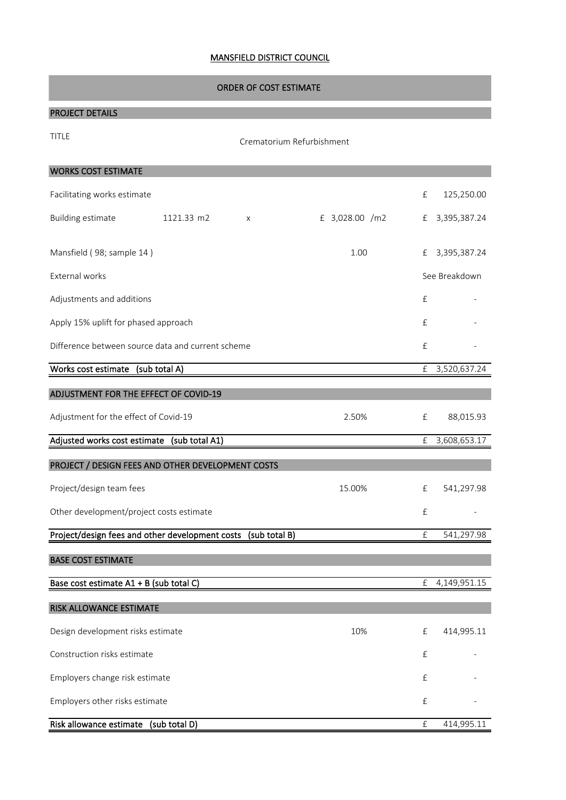## MANSFIELD DISTRICT COUNCIL

## ORDER OF COST ESTIMATE

## PROJECT DETAILS

| <b>TITLE</b>                                      | Crematorium Refurbishment |               |                |                    |               |  |  |
|---------------------------------------------------|---------------------------|---------------|----------------|--------------------|---------------|--|--|
| <b>WORKS COST ESTIMATE</b>                        |                           |               |                |                    |               |  |  |
| Facilitating works estimate                       |                           |               |                | £                  | 125,250.00    |  |  |
| <b>Building estimate</b>                          | 1121.33 m2                | Χ             | £ 3,028.00 /m2 | £                  | 3,395,387.24  |  |  |
| Mansfield (98; sample 14)                         |                           |               | 1.00           | £                  | 3,395,387.24  |  |  |
| External works                                    |                           |               |                |                    | See Breakdown |  |  |
| Adjustments and additions                         |                           |               |                | $\pounds$          |               |  |  |
| Apply 15% uplift for phased approach              |                           |               |                | £                  |               |  |  |
| Difference between source data and current scheme |                           |               |                |                    |               |  |  |
| Works cost estimate (sub total A)                 |                           |               |                | £                  | 3,520,637.24  |  |  |
| ADJUSTMENT FOR THE EFFECT OF COVID-19             |                           |               |                |                    |               |  |  |
| Adjustment for the effect of Covid-19             |                           |               | 2.50%          | £                  | 88,015.93     |  |  |
| Adjusted works cost estimate (sub total A1)       |                           |               |                | £                  | 3,608,653.17  |  |  |
| PROJECT / DESIGN FEES AND OTHER DEVELOPMENT COSTS |                           |               |                |                    |               |  |  |
| Project/design team fees                          |                           |               | 15.00%         | £                  | 541,297.98    |  |  |
| Other development/project costs estimate          |                           |               |                | £                  |               |  |  |
| Project/design fees and other development costs   |                           | (sub total B) |                | $\pounds$          | 541,297.98    |  |  |
| <b>BASE COST ESTIMATE</b>                         |                           |               |                |                    |               |  |  |
| Base cost estimate A1 + B (sub total C)           |                           |               |                | £                  | 4,149,951.15  |  |  |
| RISK ALLOWANCE ESTIMATE                           |                           |               |                |                    |               |  |  |
| Design development risks estimate                 |                           |               | 10%            | $\pounds$          | 414,995.11    |  |  |
| Construction risks estimate                       |                           |               |                | $\pounds$          |               |  |  |
| Employers change risk estimate                    |                           |               |                | $\pounds$          |               |  |  |
| Employers other risks estimate                    |                           |               |                | $\pmb{\mathsf{f}}$ |               |  |  |
| Risk allowance estimate (sub total D)             |                           |               |                | $\pounds$          | 414,995.11    |  |  |